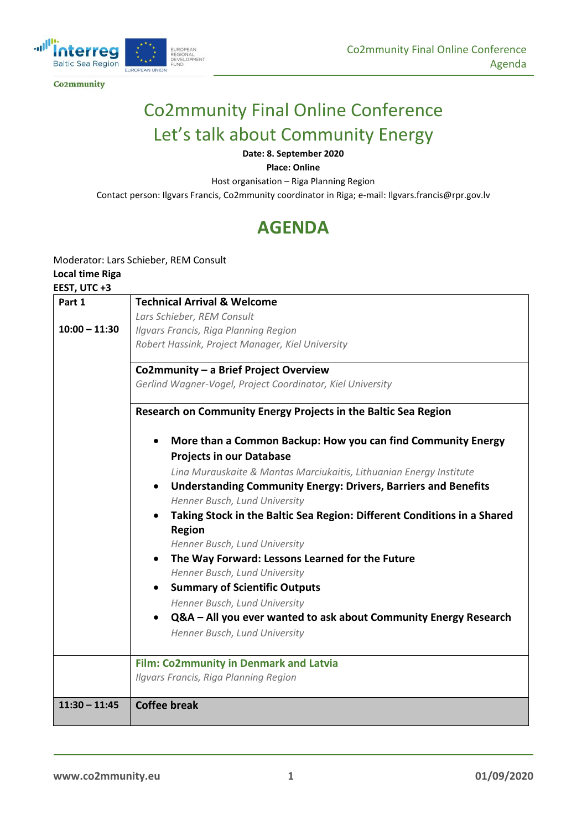

**Co2mmunity** 

# Co2mmunity Final Online Conference Let's talk about Community Energy

#### **Date: 8. September 2020**

**Place: Online**

Host organisation – Riga Planning Region

Contact person: Ilgvars Francis, Co2mmunity coordinator in Riga; e-mail: Ilgvars.francis@rpr.gov.lv

## **AGENDA**

### Moderator: Lars Schieber, REM Consult

#### **Local time Riga**

#### **EEST, UTC +3**

| Part 1          | <b>Technical Arrival &amp; Welcome</b>                                                                              |
|-----------------|---------------------------------------------------------------------------------------------------------------------|
|                 | Lars Schieber, REM Consult                                                                                          |
| $10:00 - 11:30$ | Ilgvars Francis, Riga Planning Region                                                                               |
|                 | Robert Hassink, Project Manager, Kiel University                                                                    |
|                 | Co2mmunity - a Brief Project Overview                                                                               |
|                 | Gerlind Wagner-Vogel, Project Coordinator, Kiel University                                                          |
|                 | Research on Community Energy Projects in the Baltic Sea Region                                                      |
|                 | More than a Common Backup: How you can find Community Energy                                                        |
|                 | <b>Projects in our Database</b>                                                                                     |
|                 | Lina Murauskaite & Mantas Marciukaitis, Lithuanian Energy Institute                                                 |
|                 | <b>Understanding Community Energy: Drivers, Barriers and Benefits</b><br>$\bullet$<br>Henner Busch, Lund University |
|                 |                                                                                                                     |
|                 | Taking Stock in the Baltic Sea Region: Different Conditions in a Shared                                             |
|                 | <b>Region</b>                                                                                                       |
|                 | Henner Busch, Lund University                                                                                       |
|                 | The Way Forward: Lessons Learned for the Future                                                                     |
|                 | Henner Busch, Lund University                                                                                       |
|                 | <b>Summary of Scientific Outputs</b>                                                                                |
|                 | Henner Busch, Lund University                                                                                       |
|                 | Q&A - All you ever wanted to ask about Community Energy Research                                                    |
|                 | Henner Busch, Lund University                                                                                       |
|                 | <b>Film: Co2mmunity in Denmark and Latvia</b>                                                                       |
|                 | Ilgvars Francis, Riga Planning Region                                                                               |
| $11:30 - 11:45$ | <b>Coffee break</b>                                                                                                 |